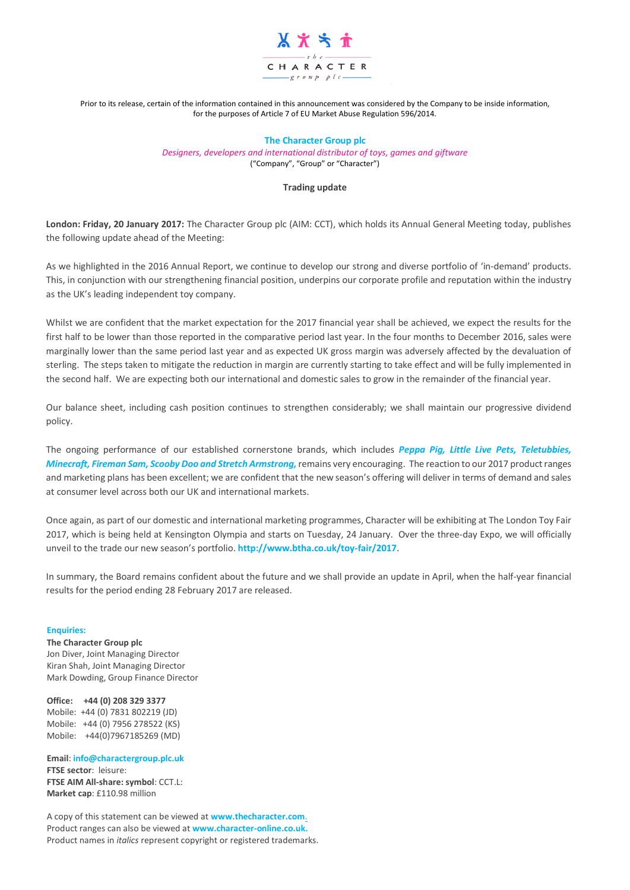

Prior to its release, certain of the information contained in this announcement was considered by the Company to be inside information, for the purposes of Article 7 of EU Market Abuse Regulation 596/2014.

## **The Character Group plc**

*Designers, developers and international distributor of toys, games and giftware* ("Company", "Group" or "Character")

## **Trading update**

**London: Friday, 20 January 2017:** The Character Group plc (AIM: CCT), which holds its Annual General Meeting today, publishes the following update ahead of the Meeting:

As we highlighted in the 2016 Annual Report, we continue to develop our strong and diverse portfolio of 'in-demand' products. This, in conjunction with our strengthening financial position, underpins our corporate profile and reputation within the industry as the UK's leading independent toy company.

Whilst we are confident that the market expectation for the 2017 financial year shall be achieved, we expect the results for the first half to be lower than those reported in the comparative period last year. In the four months to December 2016, sales were marginally lower than the same period last year and as expected UK gross margin was adversely affected by the devaluation of sterling. The steps taken to mitigate the reduction in margin are currently starting to take effect and will be fully implemented in the second half. We are expecting both our international and domestic sales to grow in the remainder of the financial year.

Our balance sheet, including cash position continues to strengthen considerably; we shall maintain our progressive dividend policy.

The ongoing performance of our established cornerstone brands, which includes *Peppa Pig, Little Live Pets, Teletubbies, Minecraft, Fireman Sam, Scooby Doo and Stretch Armstrong,* remains very encouraging. The reaction to our 2017 product ranges and marketing plans has been excellent; we are confident that the new season's offering will deliver in terms of demand and sales at consumer level across both our UK and international markets.

Once again, as part of our domestic and international marketing programmes, Character will be exhibiting at The London Toy Fair 2017, which is being held at Kensington Olympia and starts on Tuesday, 24 January. Over the three-day Expo, we will officially unveil to the trade our new season's portfolio. **<http://www.btha.co.uk/toy-fair/2017>**.

In summary, the Board remains confident about the future and we shall provide an update in April, when the half-year financial results for the period ending 28 February 2017 are released.

## **Enquiries:**

**The Character Group plc** Jon Diver, Joint Managing Director Kiran Shah, Joint Managing Director Mark Dowding, Group Finance Director

**Office: +44 (0) 208 329 3377** Mobile: +44 (0) 7831 802219 (JD) Mobile: +44 (0) 7956 278522 (KS) Mobile: +44(0)7967185269 (MD)

**Email**: **[info@charactergroup.plc.uk](mailto:info@charactergroup.plc.uk) FTSE sector**: leisure: **FTSE AIM All-share: symbol**: CCT.L: **Market cap**: £110.98 million

A copy of this statement can be viewed at **[www.thecharacter.com](http://www.thecharacter.com/)**. Product ranges can also be viewed at **[www.character-online.co.uk.](http://www.character-online.co.uk/)**  Product names in *italics* represent copyright or registered trademarks.